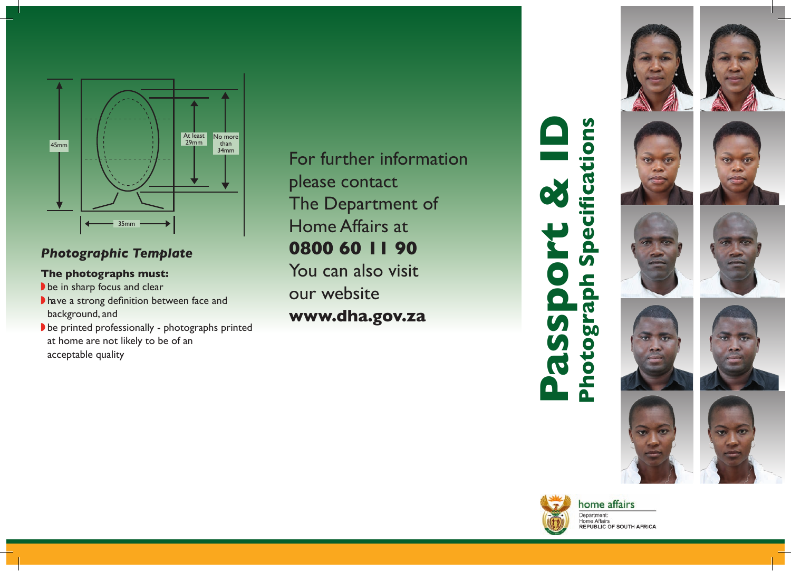

# *Photographic Template*

## **The photographs must:**

- $\blacktriangleright$  be in sharp focus and clear
- I have a strong definition between face and background, and
- $\blacktriangleright$  be printed professionally photographs printed at home are not likely to be of an acceptable quality

For further information please contact The Department of Home Affairs at **0800 60 11 90** You can also visit our website **www.dha.gov.za**

**Passport & ID Photograph Specifications Photograph Specifications**  $\bullet$ <u>9</u>  $\mathbf{S}$ QL,